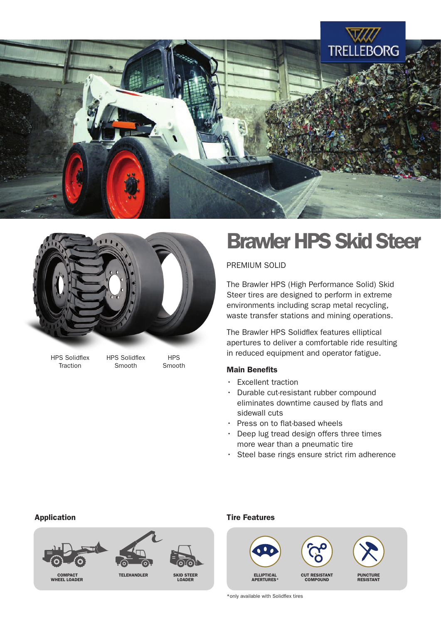



HPS Solidflex **Traction** 

HPS Solidflex Smooth

**HPS** Smooth

## Brawler HPS Skid Steer

PREMIUM SOLID

The Brawler HPS (High Performance Solid) Skid Steer tires are designed to perform in extreme environments including scrap metal recycling, waste transfer stations and mining operations.

The Brawler HPS Solidflex features elliptical apertures to deliver a comfortable ride resulting in reduced equipment and operator fatigue.

### Main Benefits

- Excellent traction
- Durable cut-resistant rubber compound eliminates downtime caused by flats and sidewall cuts
- Press on to flat-based wheels
- Deep lug tread design offers three times more wear than a pneumatic tire
- Steel base rings ensure strict rim adherence



### Application **Application** Application **Time Features**



\*only available with Solidflex tires